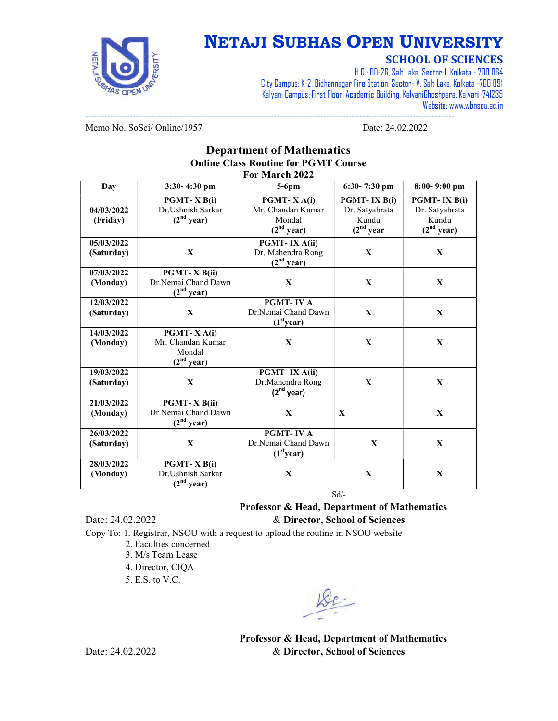

## NETAJI SUBHAS OPEN UNIVERSITY

### SCHOOL OF SCIENCES

H.Q.: DD-26, Salt Lake, Sector-I, Kolkata - 700 064 City Campus: K-2, Bidhannagar Fire Station, Sector- V, Salt Lake, Kolkata -700 091 Kalyani Campus: First Floor, Academic Building, KalyaniGhoshpara, Kalyani-741235 Website: www.wbnsou.ac.in

------------------------------------------------------------------------------------------------------------------------------------- Memo No. SoSci/ Online/1957 Date: 24.02.2022

#### Department of Mathematics Online Class Routine for PGMT Course For March 2022

| Day                      | 3:30-4:30 pm                                                               | $5-6$ pm                                                            | $6:30-7:30$ pm                                                    | $8:00 - 9:00$ pm                                                  |
|--------------------------|----------------------------------------------------------------------------|---------------------------------------------------------------------|-------------------------------------------------------------------|-------------------------------------------------------------------|
| 04/03/2022<br>(Friday)   | PGMT-X B(i)<br>Dr.Ushnish Sarkar<br>(2 <sup>nd</sup> year)                 | PGMT-XA(i)<br>Mr. Chandan Kumar<br>Mondal<br>(2 <sup>nd</sup> year) | PGMT-IX B(i)<br>Dr. Satyabrata<br>Kundu<br>(2 <sup>nd</sup> year) | PGMT-IX B(i)<br>Dr. Satyabrata<br>Kundu<br>(2 <sup>nd</sup> year) |
| 05/03/2022<br>(Saturday) | $\mathbf{X}$                                                               | PGMT-IX A(ii)<br>Dr. Mahendra Rong<br>$(2nd$ year)                  | $\mathbf{X}$                                                      | X                                                                 |
| 07/03/2022<br>(Monday)   | <b>PGMT-X B(ii)</b><br>Dr.Nemai Chand Dawn<br>(2 <sup>nd</sup> year)       | $\mathbf{X}$                                                        | $\mathbf{X}$                                                      | $\mathbf{X}$                                                      |
| 12/03/2022<br>(Saturday) | $\mathbf{X}$                                                               | <b>PGMT-IVA</b><br>Dr.Nemai Chand Dawn<br>(1 <sup>st</sup> year)    | $\mathbf{X}$                                                      | $\mathbf{X}$                                                      |
| 14/03/2022<br>(Monday)   | <b>PGMT-XA(i)</b><br>Mr. Chandan Kumar<br>Mondal<br>(2 <sup>nd</sup> year) | $\mathbf{X}$                                                        | $\mathbf{X}$                                                      | $\mathbf{X}$                                                      |
| 19/03/2022<br>(Saturday) | $\mathbf{X}$                                                               | PGMT-IX A(ii)<br>Dr.Mahendra Rong<br>$(2nd$ year)                   | $\mathbf{X}$                                                      | X                                                                 |
| 21/03/2022<br>(Monday)   | <b>PGMT-X B(ii)</b><br>Dr.Nemai Chand Dawn<br>(2 <sup>nd</sup> year)       | $\mathbf{X}$                                                        | $\mathbf{X}$                                                      | $\mathbf{X}$                                                      |
| 26/03/2022<br>(Saturday) | $\mathbf{X}$                                                               | <b>PGMT-IVA</b><br>Dr.Nemai Chand Dawn<br>(1 <sup>st</sup> year)    | $\mathbf{X}$                                                      | $\mathbf{X}$                                                      |
| 28/03/2022<br>(Monday)   | PGMT-X B(i)<br>Dr.Ushnish Sarkar<br>(2 <sup>nd</sup> year)                 | $\mathbf{X}$                                                        | $\mathbf X$<br>$Sd$ /-                                            | $\mathbf{X}$                                                      |

Professor & Head, Department of Mathematics Date: 24.02.2022 & Director, School of Sciences

Copy To: 1. Registrar, NSOU with a request to upload the routine in NSOU website

- 2. Faculties concerned
- 3. M/s Team Lease
- 4. Director, CIQA
- 5. E.S. to V.C.

Professor & Head, Department of Mathematics Date: 24.02.2022 & Director, School of Sciences